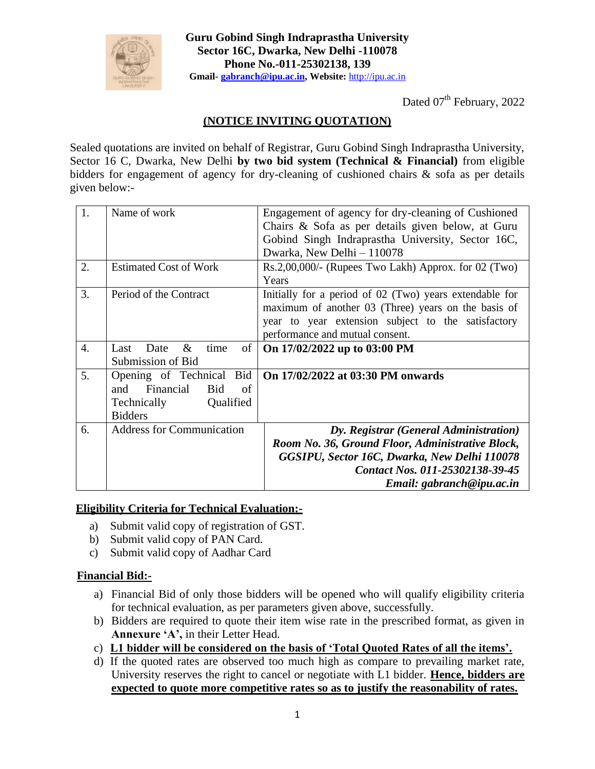

**Guru Gobind Singh Indraprastha University Sector 16C, Dwarka, New Delhi -110078 Phone No.-011-25302138, 139 Gmail- [gabranch@ipu.ac.in,](mailto:gabranch@ipu.ac.in) Website:** [http://ipu.ac.in](http://ipu.ac.in/)

Dated 07<sup>th</sup> February, 2022

## **(NOTICE INVITING QUOTATION)**

Sealed quotations are invited on behalf of Registrar, Guru Gobind Singh Indraprastha University, Sector 16 C, Dwarka, New Delhi **by two bid system (Technical & Financial)** from eligible bidders for engagement of agency for dry-cleaning of cushioned chairs & sofa as per details given below:-

| 1.               | Name of work                                                                                                      | Engagement of agency for dry-cleaning of Cushioned<br>Chairs & Sofa as per details given below, at Guru<br>Gobind Singh Indraprastha University, Sector 16C,<br>Dwarka, New Delhi - 110078                 |
|------------------|-------------------------------------------------------------------------------------------------------------------|------------------------------------------------------------------------------------------------------------------------------------------------------------------------------------------------------------|
| 2.               | <b>Estimated Cost of Work</b>                                                                                     | $Rs.2,00,000/$ - (Rupees Two Lakh) Approx. for 02 (Two)<br>Years                                                                                                                                           |
| 3.               | Period of the Contract                                                                                            | Initially for a period of 02 (Two) years extendable for<br>maximum of another 03 (Three) years on the basis of<br>year to year extension subject to the satisfactory<br>performance and mutual consent.    |
| $\overline{4}$ . | of<br>&<br>time<br>Date<br>Last<br>Submission of Bid                                                              | On 17/02/2022 up to 03:00 PM                                                                                                                                                                               |
| 5.               | Bid<br>Opening of Technical<br>Financial<br><b>Bid</b><br>of<br>and<br>Qualified<br>Technically<br><b>Bidders</b> | On 17/02/2022 at 03:30 PM onwards                                                                                                                                                                          |
| 6.               | <b>Address for Communication</b>                                                                                  | Dy. Registrar (General Administration)<br>Room No. 36, Ground Floor, Administrative Block,<br>GGSIPU, Sector 16C, Dwarka, New Delhi 110078<br>Contact Nos. 011-25302138-39-45<br>Email: gabranch@ipu.ac.in |

## **Eligibility Criteria for Technical Evaluation:-**

- a) Submit valid copy of registration of GST.
- b) Submit valid copy of PAN Card.
- c) Submit valid copy of Aadhar Card

## **Financial Bid:-**

- a) Financial Bid of only those bidders will be opened who will qualify eligibility criteria for technical evaluation, as per parameters given above, successfully.
- b) Bidders are required to quote their item wise rate in the prescribed format, as given in **Annexure 'A',** in their Letter Head.
- c) **L1 bidder will be considered on the basis of 'Total Quoted Rates of all the items'.**
- d) If the quoted rates are observed too much high as compare to prevailing market rate, University reserves the right to cancel or negotiate with L1 bidder. **Hence, bidders are expected to quote more competitive rates so as to justify the reasonability of rates.**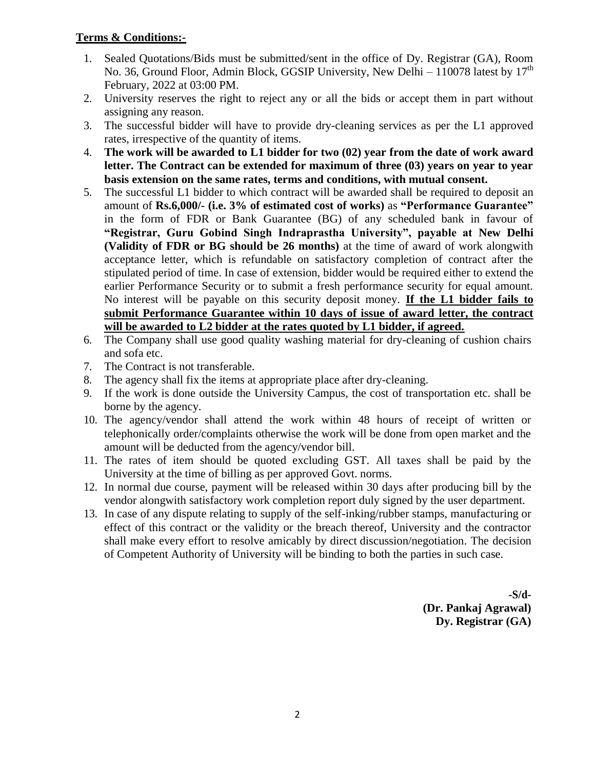## **Terms & Conditions:-**

- 1. Sealed Quotations/Bids must be submitted/sent in the office of Dy. Registrar (GA), Room No. 36, Ground Floor, Admin Block, GGSIP University, New Delhi – 110078 latest by  $17<sup>th</sup>$ February, 2022 at 03:00 PM.
- 2. University reserves the right to reject any or all the bids or accept them in part without assigning any reason.
- 3. The successful bidder will have to provide dry-cleaning services as per the L1 approved rates, irrespective of the quantity of items.
- 4. **The work will be awarded to L1 bidder for two (02) year from the date of work award letter. The Contract can be extended for maximum of three (03) years on year to year basis extension on the same rates, terms and conditions, with mutual consent.**
- 5. The successful L1 bidder to which contract will be awarded shall be required to deposit an amount of **Rs.6,000/- (i.e. 3% of estimated cost of works)** as **"Performance Guarantee"**  in the form of FDR or Bank Guarantee (BG) of any scheduled bank in favour of **"Registrar, Guru Gobind Singh Indraprastha University", payable at New Delhi (Validity of FDR or BG should be 26 months)** at the time of award of work alongwith acceptance letter, which is refundable on satisfactory completion of contract after the stipulated period of time. In case of extension, bidder would be required either to extend the earlier Performance Security or to submit a fresh performance security for equal amount. No interest will be payable on this security deposit money. **If the L1 bidder fails to submit Performance Guarantee within 10 days of issue of award letter, the contract will be awarded to L2 bidder at the rates quoted by L1 bidder, if agreed.**
- 6. The Company shall use good quality washing material for dry-cleaning of cushion chairs and sofa etc.
- 7. The Contract is not transferable.
- 8. The agency shall fix the items at appropriate place after dry-cleaning.
- 9. If the work is done outside the University Campus, the cost of transportation etc. shall be borne by the agency.
- 10. The agency/vendor shall attend the work within 48 hours of receipt of written or telephonically order/complaints otherwise the work will be done from open market and the amount will be deducted from the agency/vendor bill.
- 11. The rates of item should be quoted excluding GST. All taxes shall be paid by the University at the time of billing as per approved Govt. norms.
- 12. In normal due course, payment will be released within 30 days after producing bill by the vendor alongwith satisfactory work completion report duly signed by the user department.
- 13. In case of any dispute relating to supply of the self-inking/rubber stamps, manufacturing or effect of this contract or the validity or the breach thereof, University and the contractor shall make every effort to resolve amicably by direct discussion/negotiation. The decision of Competent Authority of University will be binding to both the parties in such case.

**-S/d- (Dr. Pankaj Agrawal) Dy. Registrar (GA)**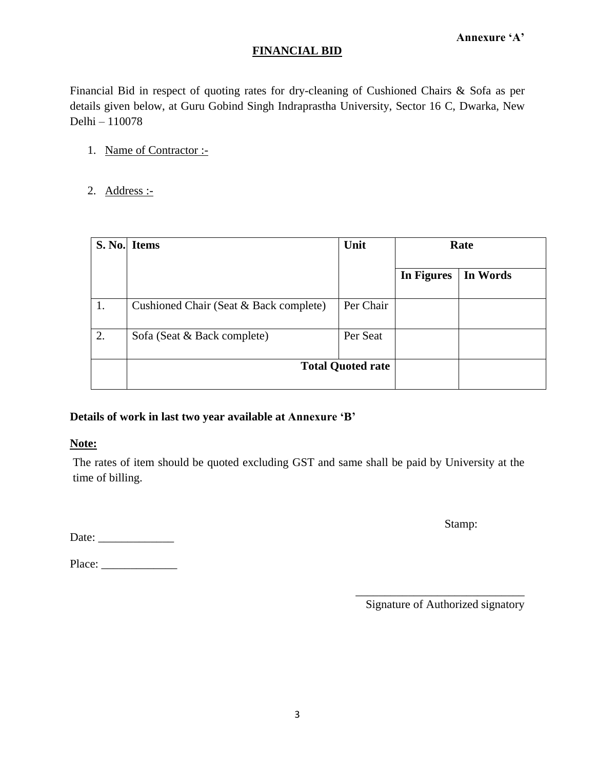## **FINANCIAL BID**

Financial Bid in respect of quoting rates for dry-cleaning of Cushioned Chairs & Sofa as per details given below, at Guru Gobind Singh Indraprastha University, Sector 16 C, Dwarka, New Delhi – 110078

- 1. Name of Contractor :-
- 2. Address :-

|    | S. No. Items                           | Unit      | Rate       |          |
|----|----------------------------------------|-----------|------------|----------|
|    |                                        |           | In Figures | In Words |
|    | Cushioned Chair (Seat & Back complete) | Per Chair |            |          |
| 2. | Sofa (Seat & Back complete)            | Per Seat  |            |          |
|    | <b>Total Quoted rate</b>               |           |            |          |

## **Details of work in last two year available at Annexure 'B'**

#### **Note:**

The rates of item should be quoted excluding GST and same shall be paid by University at the time of billing.

Date: \_\_\_\_\_\_\_\_\_\_\_\_\_

Place: \_\_\_\_\_\_\_\_\_\_\_\_\_

Stamp:

\_\_\_\_\_\_\_\_\_\_\_\_\_\_\_\_\_\_\_\_\_\_\_\_\_\_\_\_\_ Signature of Authorized signatory